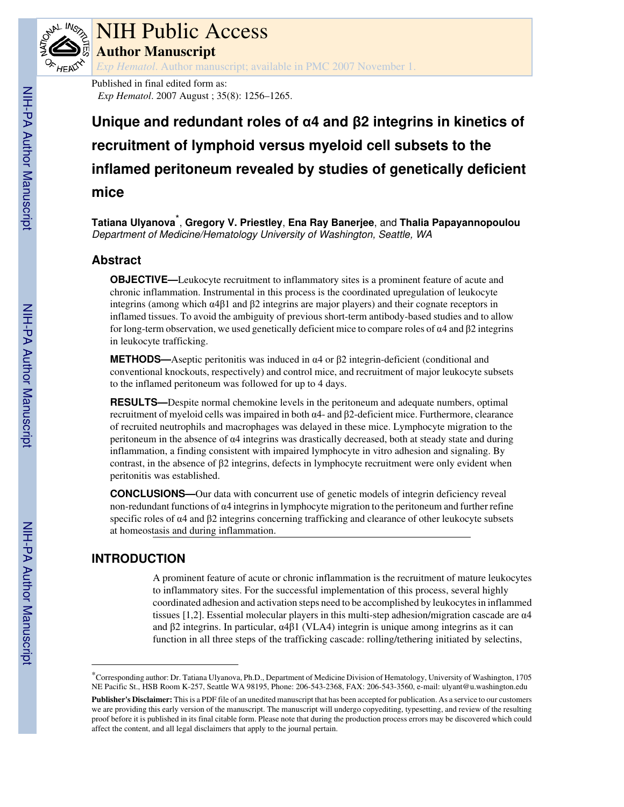

# NIH Public Access

**Author Manuscript**

*Exp Hematol*. Author manuscript; available in PMC 2007 November 1.

Published in final edited form as: *Exp Hematol*. 2007 August ; 35(8): 1256–1265.

## **Unique and redundant roles of α4 and β2 integrins in kinetics of recruitment of lymphoid versus myeloid cell subsets to the inflamed peritoneum revealed by studies of genetically deficient mice**

**Tatiana Ulyanova**\* , **Gregory V. Priestley**, **Ena Ray Banerjee**, and **Thalia Papayannopoulou** Department of Medicine/Hematology University of Washington, Seattle, WA

## **Abstract**

**OBJECTIVE—**Leukocyte recruitment to inflammatory sites is a prominent feature of acute and chronic inflammation. Instrumental in this process is the coordinated upregulation of leukocyte integrins (among which α4β1 and β2 integrins are major players) and their cognate receptors in inflamed tissues. To avoid the ambiguity of previous short-term antibody-based studies and to allow for long-term observation, we used genetically deficient mice to compare roles of α4 and β2 integrins in leukocyte trafficking.

**METHODS—**Aseptic peritonitis was induced in α4 or β2 integrin-deficient (conditional and conventional knockouts, respectively) and control mice, and recruitment of major leukocyte subsets to the inflamed peritoneum was followed for up to 4 days.

**RESULTS—**Despite normal chemokine levels in the peritoneum and adequate numbers, optimal recruitment of myeloid cells was impaired in both α4- and β2-deficient mice. Furthermore, clearance of recruited neutrophils and macrophages was delayed in these mice. Lymphocyte migration to the peritoneum in the absence of α4 integrins was drastically decreased, both at steady state and during inflammation, a finding consistent with impaired lymphocyte in vitro adhesion and signaling. By contrast, in the absence of  $\beta$ 2 integrins, defects in lymphocyte recruitment were only evident when peritonitis was established.

**CONCLUSIONS—**Our data with concurrent use of genetic models of integrin deficiency reveal non-redundant functions of α4 integrins in lymphocyte migration to the peritoneum and further refine specific roles of α4 and β2 integrins concerning trafficking and clearance of other leukocyte subsets at homeostasis and during inflammation.

## **INTRODUCTION**

A prominent feature of acute or chronic inflammation is the recruitment of mature leukocytes to inflammatory sites. For the successful implementation of this process, several highly coordinated adhesion and activation steps need to be accomplished by leukocytes in inflammed tissues [1,2]. Essential molecular players in this multi-step adhesion/migration cascade are α4 and β2 integrins. In particular, α4β1 (VLA4) integrin is unique among integrins as it can function in all three steps of the trafficking cascade: rolling/tethering initiated by selectins,

<sup>\*</sup>Corresponding author: Dr. Tatiana Ulyanova, Ph.D., Department of Medicine Division of Hematology, University of Washington, 1705 NE Pacific St., HSB Room K-257, Seattle WA 98195, Phone: 206-543-2368, FAX: 206-543-3560, e-mail: ulyant@u.washington.edu

**Publisher's Disclaimer:** This is a PDF file of an unedited manuscript that has been accepted for publication. As a service to our customers we are providing this early version of the manuscript. The manuscript will undergo copyediting, typesetting, and review of the resulting proof before it is published in its final citable form. Please note that during the production process errors may be discovered which could affect the content, and all legal disclaimers that apply to the journal pertain.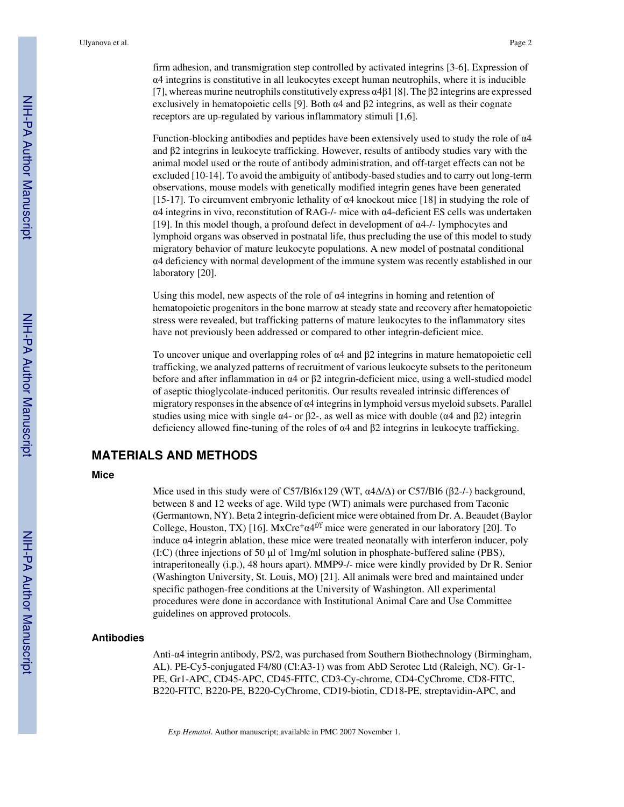firm adhesion, and transmigration step controlled by activated integrins [3-6]. Expression of α4 integrins is constitutive in all leukocytes except human neutrophils, where it is inducible [7], whereas murine neutrophils constitutively express α4β1 [8]. The β2 integrins are expressed exclusively in hematopoietic cells [9]. Both  $\alpha$ 4 and  $\beta$ 2 integrins, as well as their cognate receptors are up-regulated by various inflammatory stimuli [1,6].

Function-blocking antibodies and peptides have been extensively used to study the role of  $\alpha$ 4 and β2 integrins in leukocyte trafficking. However, results of antibody studies vary with the animal model used or the route of antibody administration, and off-target effects can not be excluded [10-14]. To avoid the ambiguity of antibody-based studies and to carry out long-term observations, mouse models with genetically modified integrin genes have been generated [15-17]. To circumvent embryonic lethality of α4 knockout mice [18] in studying the role of α4 integrins in vivo, reconstitution of RAG-/- mice with α4-deficient ES cells was undertaken [19]. In this model though, a profound defect in development of  $\alpha$ 4-/- lymphocytes and lymphoid organs was observed in postnatal life, thus precluding the use of this model to study migratory behavior of mature leukocyte populations. A new model of postnatal conditional α4 deficiency with normal development of the immune system was recently established in our laboratory [20].

Using this model, new aspects of the role of  $\alpha$ 4 integrins in homing and retention of hematopoietic progenitors in the bone marrow at steady state and recovery after hematopoietic stress were revealed, but trafficking patterns of mature leukocytes to the inflammatory sites have not previously been addressed or compared to other integrin-deficient mice.

To uncover unique and overlapping roles of α4 and β2 integrins in mature hematopoietic cell trafficking, we analyzed patterns of recruitment of various leukocyte subsets to the peritoneum before and after inflammation in α4 or β2 integrin-deficient mice, using a well-studied model of aseptic thioglycolate-induced peritonitis. Our results revealed intrinsic differences of migratory responses in the absence of  $\alpha$ 4 integrins in lymphoid versus myeloid subsets. Parallel studies using mice with single  $α4$ - or  $β2$ -, as well as mice with double  $(α4$  and  $β2)$  integrin deficiency allowed fine-tuning of the roles of  $\alpha$ 4 and  $\beta$ 2 integrins in leukocyte trafficking.

## **MATERIALS AND METHODS**

#### **Mice**

Mice used in this study were of C57/Bl6x129 (WT, α4Δ/Δ) or C57/Bl6 (β2-/-) background, between 8 and 12 weeks of age. Wild type (WT) animals were purchased from Taconic (Germantown, NY). Beta 2 integrin-deficient mice were obtained from Dr. A. Beaudet (Baylor College, Houston, TX) [16]. MxCre<sup>+</sup> $\alpha$ 4<sup>f/f</sup> mice were generated in our laboratory [20]. To induce  $\alpha$ 4 integrin ablation, these mice were treated neonatally with interferon inducer, poly (I:C) (three injections of 50 μl of 1mg/ml solution in phosphate-buffered saline (PBS), intraperitoneally (i.p.), 48 hours apart). MMP9-/- mice were kindly provided by Dr R. Senior (Washington University, St. Louis, MO) [21]. All animals were bred and maintained under specific pathogen-free conditions at the University of Washington. All experimental procedures were done in accordance with Institutional Animal Care and Use Committee guidelines on approved protocols.

#### **Antibodies**

Anti-α4 integrin antibody, PS/2, was purchased from Southern Biothechnology (Birmingham, AL). PE-Cy5-conjugated F4/80 (Cl:A3-1) was from AbD Serotec Ltd (Raleigh, NC). Gr-1- PE, Gr1-APC, CD45-APC, CD45-FITC, CD3-Cy-chrome, CD4-CyChrome, CD8-FITC, B220-FITC, B220-PE, B220-CyChrome, CD19-biotin, CD18-PE, streptavidin-APC, and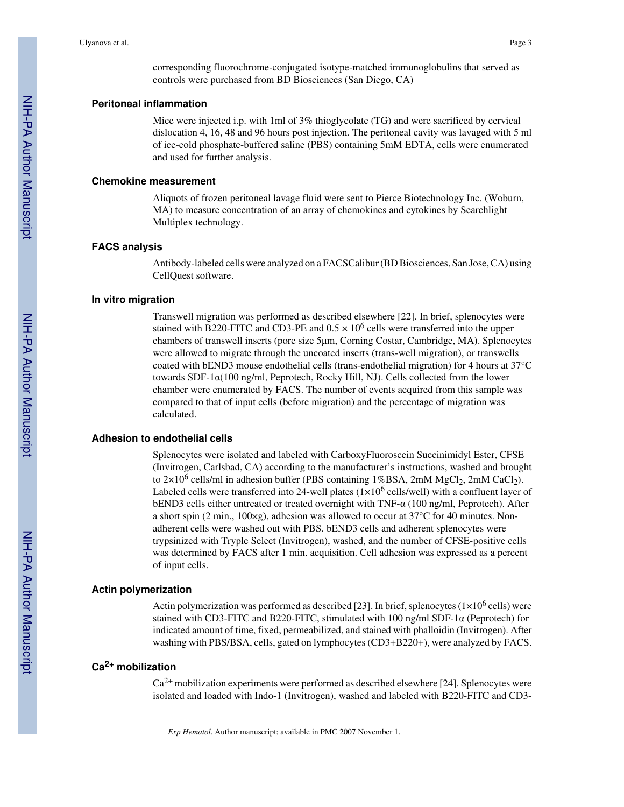#### **Peritoneal inflammation**

Mice were injected i.p. with 1ml of 3% thioglycolate (TG) and were sacrificed by cervical dislocation 4, 16, 48 and 96 hours post injection. The peritoneal cavity was lavaged with 5 ml of ice-cold phosphate-buffered saline (PBS) containing 5mM EDTA, cells were enumerated and used for further analysis.

#### **Chemokine measurement**

Aliquots of frozen peritoneal lavage fluid were sent to Pierce Biotechnology Inc. (Woburn, MA) to measure concentration of an array of chemokines and cytokines by Searchlight Multiplex technology.

#### **FACS analysis**

Antibody-labeled cells were analyzed on a FACSCalibur (BD Biosciences, San Jose, CA) using CellQuest software.

#### **In vitro migration**

Transwell migration was performed as described elsewhere [22]. In brief, splenocytes were stained with B220-FITC and CD3-PE and  $0.5 \times 10^6$  cells were transferred into the upper chambers of transwell inserts (pore size 5μm, Corning Costar, Cambridge, MA). Splenocytes were allowed to migrate through the uncoated inserts (trans-well migration), or transwells coated with bEND3 mouse endothelial cells (trans-endothelial migration) for 4 hours at 37°C towards SDF-1α(100 ng/ml, Peprotech, Rocky Hill, NJ). Cells collected from the lower chamber were enumerated by FACS. The number of events acquired from this sample was compared to that of input cells (before migration) and the percentage of migration was calculated.

#### **Adhesion to endothelial cells**

Splenocytes were isolated and labeled with CarboxyFluoroscein Succinimidyl Ester, CFSE (Invitrogen, Carlsbad, CA) according to the manufacturer's instructions, washed and brought to 2×10<sup>6</sup> cells/ml in adhesion buffer (PBS containing 1%BSA, 2mM MgCl<sub>2</sub>, 2mM CaCl<sub>2</sub>). Labeled cells were transferred into 24-well plates  $(1\times10^6 \text{ cells/well})$  with a confluent layer of bEND3 cells either untreated or treated overnight with TNF-α (100 ng/ml, Peprotech). After a short spin (2 min.,  $100 \times g$ ), adhesion was allowed to occur at 37 $^{\circ}$ C for 40 minutes. Nonadherent cells were washed out with PBS. bEND3 cells and adherent splenocytes were trypsinized with Tryple Select (Invitrogen), washed, and the number of CFSE-positive cells was determined by FACS after 1 min. acquisition. Cell adhesion was expressed as a percent of input cells.

#### **Actin polymerization**

Actin polymerization was performed as described [23]. In brief, splenocytes (1×10<sup>6</sup> cells) were stained with CD3-FITC and B220-FITC, stimulated with 100 ng/ml SDF-1α (Peprotech) for indicated amount of time, fixed, permeabilized, and stained with phalloidin (Invitrogen). After washing with PBS/BSA, cells, gated on lymphocytes (CD3+B220+), were analyzed by FACS.

#### **Ca2+ mobilization**

 $Ca<sup>2+</sup>$  mobilization experiments were performed as described elsewhere [24]. Splenocytes were isolated and loaded with Indo-1 (Invitrogen), washed and labeled with B220-FITC and CD3-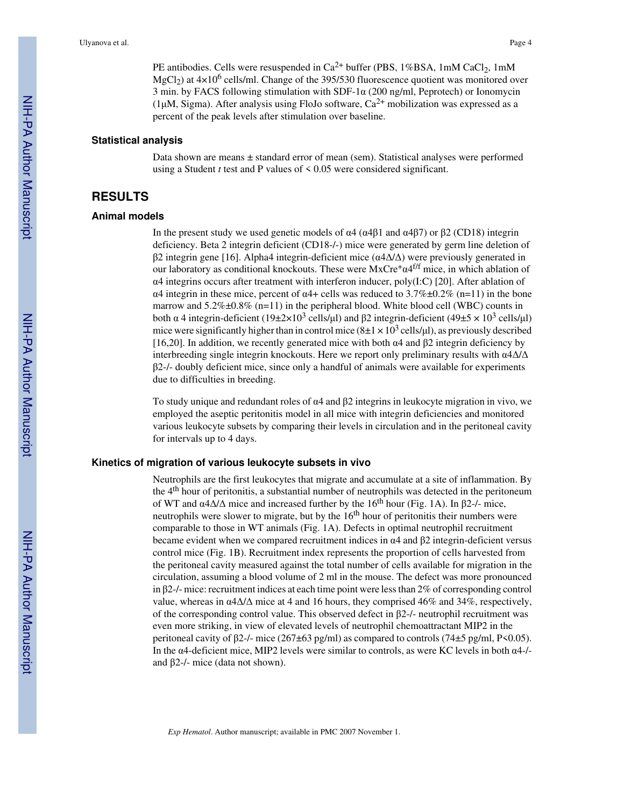PE antibodies. Cells were resuspended in  $Ca^{2+}$  buffer (PBS, 1%BSA, 1mM CaCl<sub>2</sub>, 1mM  $MgCl<sub>2</sub>$ ) at  $4\times10^6$  cells/ml. Change of the 395/530 fluorescence quotient was monitored over 3 min. by FACS following stimulation with SDF-1α (200 ng/ml, Peprotech) or Ionomycin ( $1\mu$ M, Sigma). After analysis using FloJo software,  $Ca^{2+}$  mobilization was expressed as a percent of the peak levels after stimulation over baseline.

#### **Statistical analysis**

Data shown are means ± standard error of mean (sem). Statistical analyses were performed using a Student *t* test and P values of  $\leq 0.05$  were considered significant.

## **RESULTS**

#### **Animal models**

In the present study we used genetic models of  $\alpha$ 4 ( $\alpha$ 4β1 and  $\alpha$ 4β7) or β2 (CD18) integrin deficiency. Beta 2 integrin deficient (CD18-/-) mice were generated by germ line deletion of β2 integrin gene [16]. Alpha4 integrin-deficient mice (α4Δ/Δ) were previously generated in our laboratory as conditional knockouts. These were MxCre<sup>+</sup>α4<sup>f/f</sup> mice, in which ablation of α4 integrins occurs after treatment with interferon inducer, poly(I:C) [20]. After ablation of α4 integrin in these mice, percent of  $α4+$  cells was reduced to 3.7% $\pm$ 0.2% (n=11) in the bone marrow and  $5.2\% \pm 0.8\%$  (n=11) in the peripheral blood. White blood cell (WBC) counts in both α 4 integrin-deficient (19 $\pm$ 2×10<sup>3</sup> cells/μl) and β2 integrin-deficient (49 $\pm$ 5 × 10<sup>3</sup> cells/μl) mice were significantly higher than in control mice  $(8\pm1 \times 10^3 \text{ cells/}\mu l)$ , as previously described [16,20]. In addition, we recently generated mice with both  $\alpha$ 4 and  $\beta$ 2 integrin deficiency by interbreeding single integrin knockouts. Here we report only preliminary results with  $\alpha$ 4 $\Delta/\Delta$ β2-/- doubly deficient mice, since only a handful of animals were available for experiments due to difficulties in breeding.

To study unique and redundant roles of  $\alpha$ 4 and  $\beta$ 2 integrins in leukocyte migration in vivo, we employed the aseptic peritonitis model in all mice with integrin deficiencies and monitored various leukocyte subsets by comparing their levels in circulation and in the peritoneal cavity for intervals up to 4 days.

#### **Kinetics of migration of various leukocyte subsets in vivo**

Neutrophils are the first leukocytes that migrate and accumulate at a site of inflammation. By the 4th hour of peritonitis, a substantial number of neutrophils was detected in the peritoneum of WT and  $α4Δ/Δ$  mice and increased further by the 16<sup>th</sup> hour (Fig. 1A). In β2-/- mice, neutrophils were slower to migrate, but by the 16<sup>th</sup> hour of peritonitis their numbers were comparable to those in WT animals (Fig. 1A). Defects in optimal neutrophil recruitment became evident when we compared recruitment indices in  $\alpha$ 4 and  $\beta$ 2 integrin-deficient versus control mice (Fig. 1B). Recruitment index represents the proportion of cells harvested from the peritoneal cavity measured against the total number of cells available for migration in the circulation, assuming a blood volume of 2 ml in the mouse. The defect was more pronounced in β2-/- mice: recruitment indices at each time point were less than 2% of corresponding control value, whereas in  $\alpha$ 4 $\Delta/\Delta$  mice at 4 and 16 hours, they comprised 46% and 34%, respectively, of the corresponding control value. This observed defect in β2-/- neutrophil recruitment was even more striking, in view of elevated levels of neutrophil chemoattractant MIP2 in the peritoneal cavity of β2-/- mice (267±63 pg/ml) as compared to controls (74±5 pg/ml, P<0.05). In the α4-deficient mice, MIP2 levels were similar to controls, as were KC levels in both α4-/ and β2-/- mice (data not shown).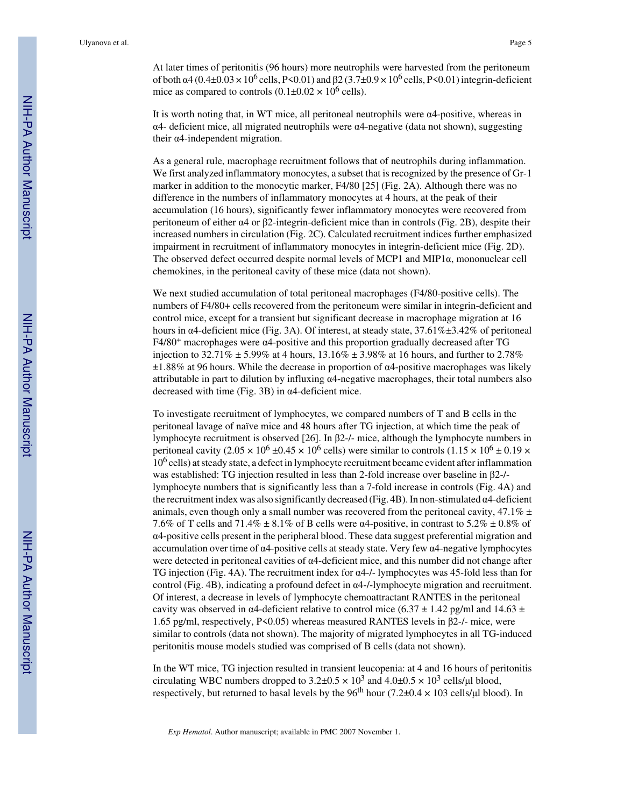At later times of peritonitis (96 hours) more neutrophils were harvested from the peritoneum of both α4 (0.4±0.03 × 10<sup>6</sup> cells, P<0.01) and β2 (3.7±0.9 × 10<sup>6</sup> cells, P<0.01) integrin-deficient mice as compared to controls  $(0.1 \pm 0.02 \times 10^6 \text{ cells})$ .

It is worth noting that, in WT mice, all peritoneal neutrophils were  $\alpha$ 4-positive, whereas in α4- deficient mice, all migrated neutrophils were α4-negative (data not shown), suggesting their α4-independent migration.

As a general rule, macrophage recruitment follows that of neutrophils during inflammation. We first analyzed inflammatory monocytes, a subset that is recognized by the presence of Gr-1 marker in addition to the monocytic marker, F4/80 [25] (Fig. 2A). Although there was no difference in the numbers of inflammatory monocytes at 4 hours, at the peak of their accumulation (16 hours), significantly fewer inflammatory monocytes were recovered from peritoneum of either α4 or β2-integrin-deficient mice than in controls (Fig. 2B), despite their increased numbers in circulation (Fig. 2C). Calculated recruitment indices further emphasized impairment in recruitment of inflammatory monocytes in integrin-deficient mice (Fig. 2D). The observed defect occurred despite normal levels of MCP1 and MIP1 $\alpha$ , mononuclear cell chemokines, in the peritoneal cavity of these mice (data not shown).

We next studied accumulation of total peritoneal macrophages (F4/80-positive cells). The numbers of F4/80+ cells recovered from the peritoneum were similar in integrin-deficient and control mice, except for a transient but significant decrease in macrophage migration at 16 hours in α4-deficient mice (Fig. 3A). Of interest, at steady state, 37.61%±3.42% of peritoneal  $F4/80^+$  macrophages were  $\alpha$ 4-positive and this proportion gradually decreased after TG injection to  $32.71\% \pm 5.99\%$  at 4 hours,  $13.16\% \pm 3.98\%$  at 16 hours, and further to 2.78%  $\pm 1.88\%$  at 96 hours. While the decrease in proportion of  $\alpha$ 4-positive macrophages was likely attributable in part to dilution by influxing  $\alpha$ 4-negative macrophages, their total numbers also decreased with time (Fig. 3B) in α4-deficient mice.

To investigate recruitment of lymphocytes, we compared numbers of T and B cells in the peritoneal lavage of naïve mice and 48 hours after TG injection, at which time the peak of lymphocyte recruitment is observed [26]. In β2-/- mice, although the lymphocyte numbers in peritoneal cavity (2.05  $\times$  10<sup>6</sup> ±0.45  $\times$  10<sup>6</sup> cells) were similar to controls (1.15  $\times$  10<sup>6</sup> ± 0.19  $\times$ 10<sup>6</sup> cells) at steady state, a defect in lymphocyte recruitment became evident after inflammation was established: TG injection resulted in less than 2-fold increase over baseline in β2-/ lymphocyte numbers that is significantly less than a 7-fold increase in controls (Fig. 4A) and the recruitment index was also significantly decreased (Fig. 4B). In non-stimulated  $\alpha$ 4-deficient animals, even though only a small number was recovered from the peritoneal cavity,  $47.1\% \pm$ 7.6% of T cells and 71.4%  $\pm$  8.1% of B cells were  $\alpha$ 4-positive, in contrast to 5.2%  $\pm$  0.8% of α4-positive cells present in the peripheral blood. These data suggest preferential migration and accumulation over time of α4-positive cells at steady state. Very few α4-negative lymphocytes were detected in peritoneal cavities of α4-deficient mice, and this number did not change after TG injection (Fig. 4A). The recruitment index for  $\alpha$ 4-/- lymphocytes was 45-fold less than for control (Fig. 4B), indicating a profound defect in α4-/-lymphocyte migration and recruitment. Of interest, a decrease in levels of lymphocyte chemoattractant RANTES in the peritoneal cavity was observed in α4-deficient relative to control mice (6.37  $\pm$  1.42 pg/ml and 14.63  $\pm$ 1.65 pg/ml, respectively, P<0.05) whereas measured RANTES levels in β2-/- mice, were similar to controls (data not shown). The majority of migrated lymphocytes in all TG-induced peritonitis mouse models studied was comprised of B cells (data not shown).

In the WT mice, TG injection resulted in transient leucopenia: at 4 and 16 hours of peritonitis circulating WBC numbers dropped to  $3.2 \pm 0.5 \times 10^3$  and  $4.0 \pm 0.5 \times 10^3$  cells/µl blood, respectively, but returned to basal levels by the 96<sup>th</sup> hour (7.2 $\pm$ 0.4  $\times$  103 cells/ $\mu$ l blood). In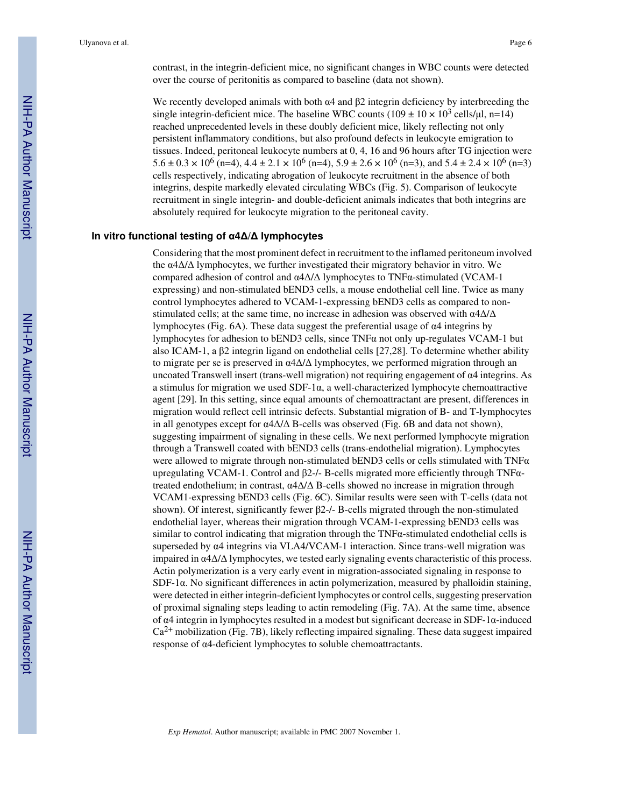contrast, in the integrin-deficient mice, no significant changes in WBC counts were detected over the course of peritonitis as compared to baseline (data not shown).

We recently developed animals with both  $\alpha$ 4 and  $\beta$ 2 integrin deficiency by interbreeding the single integrin-deficient mice. The baseline WBC counts (109  $\pm$  10  $\times$  10<sup>3</sup> cells/ $\mu$ l, n=14) reached unprecedented levels in these doubly deficient mice, likely reflecting not only persistent inflammatory conditions, but also profound defects in leukocyte emigration to tissues. Indeed, peritoneal leukocyte numbers at 0, 4, 16 and 96 hours after TG injection were  $5.6 \pm 0.3 \times 10^6$  (n=4),  $4.4 \pm 2.1 \times 10^6$  (n=4),  $5.9 \pm 2.6 \times 10^6$  (n=3), and  $5.4 \pm 2.4 \times 10^6$  (n=3) cells respectively, indicating abrogation of leukocyte recruitment in the absence of both integrins, despite markedly elevated circulating WBCs (Fig. 5). Comparison of leukocyte recruitment in single integrin- and double-deficient animals indicates that both integrins are absolutely required for leukocyte migration to the peritoneal cavity.

#### **In vitro functional testing of α4Δ/Δ lymphocytes**

Considering that the most prominent defect in recruitment to the inflamed peritoneum involved the  $\alpha$ 4 $\Delta/\Delta$  lymphocytes, we further investigated their migratory behavior in vitro. We compared adhesion of control and  $\alpha$ 4 $\Delta/\Delta$  lymphocytes to TNF $\alpha$ -stimulated (VCAM-1 expressing) and non-stimulated bEND3 cells, a mouse endothelial cell line. Twice as many control lymphocytes adhered to VCAM-1-expressing bEND3 cells as compared to nonstimulated cells; at the same time, no increase in adhesion was observed with α4Δ/Δ lymphocytes (Fig. 6A). These data suggest the preferential usage of  $\alpha$ 4 integrins by lymphocytes for adhesion to bEND3 cells, since  $TNF\alpha$  not only up-regulates VCAM-1 but also ICAM-1, a β2 integrin ligand on endothelial cells [27,28]. To determine whether ability to migrate per se is preserved in  $\alpha$ 4 $\Delta/\Delta$  lymphocytes, we performed migration through an uncoated Transwell insert (trans-well migration) not requiring engagement of α4 integrins. As a stimulus for migration we used SDF-1α, a well-characterized lymphocyte chemoattractive agent [29]. In this setting, since equal amounts of chemoattractant are present, differences in migration would reflect cell intrinsic defects. Substantial migration of B- and T-lymphocytes in all genotypes except for  $\alpha$ 4 $\Delta/\Delta$  B-cells was observed (Fig. 6B and data not shown), suggesting impairment of signaling in these cells. We next performed lymphocyte migration through a Transwell coated with bEND3 cells (trans-endothelial migration). Lymphocytes were allowed to migrate through non-stimulated bEND3 cells or cells stimulated with  $TNF\alpha$ upregulating VCAM-1. Control and β2-/- B-cells migrated more efficiently through TNFαtreated endothelium; in contrast, α4Δ/Δ B-cells showed no increase in migration through VCAM1-expressing bEND3 cells (Fig. 6C). Similar results were seen with T-cells (data not shown). Of interest, significantly fewer β2-/- B-cells migrated through the non-stimulated endothelial layer, whereas their migration through VCAM-1-expressing bEND3 cells was similar to control indicating that migration through the  $TNF\alpha$ -stimulated endothelial cells is superseded by  $\alpha$ 4 integrins via VLA4/VCAM-1 interaction. Since trans-well migration was impaired in  $\alpha$ 4 $\Delta/\Delta$  lymphocytes, we tested early signaling events characteristic of this process. Actin polymerization is a very early event in migration-associated signaling in response to SDF-1α. No significant differences in actin polymerization, measured by phalloidin staining, were detected in either integrin-deficient lymphocytes or control cells, suggesting preservation of proximal signaling steps leading to actin remodeling (Fig. 7A). At the same time, absence of α4 integrin in lymphocytes resulted in a modest but significant decrease in SDF-1α-induced  $Ca<sup>2+</sup>$  mobilization (Fig. 7B), likely reflecting impaired signaling. These data suggest impaired response of α4-deficient lymphocytes to soluble chemoattractants.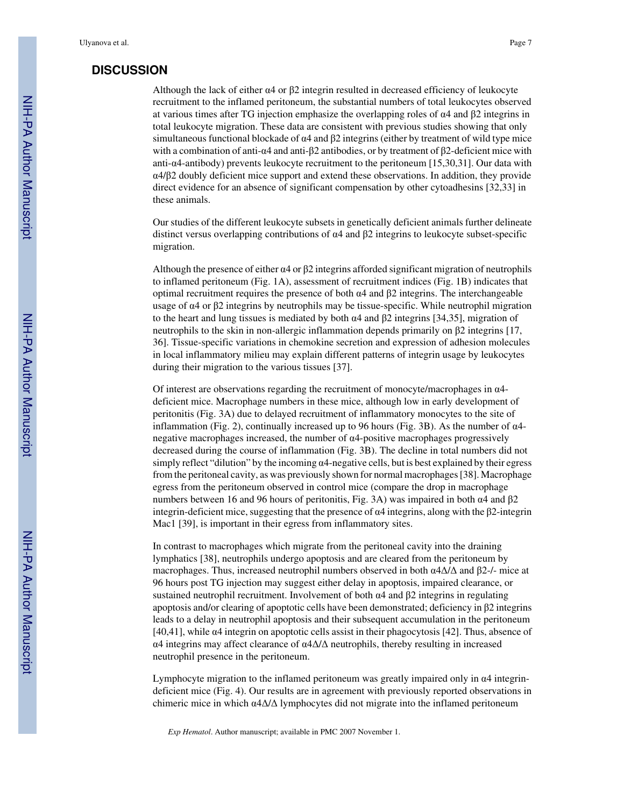### **DISCUSSION**

Although the lack of either α4 or β2 integrin resulted in decreased efficiency of leukocyte recruitment to the inflamed peritoneum, the substantial numbers of total leukocytes observed at various times after TG injection emphasize the overlapping roles of α4 and β2 integrins in total leukocyte migration. These data are consistent with previous studies showing that only simultaneous functional blockade of α4 and β2 integrins (either by treatment of wild type mice with a combination of anti-α4 and anti-β2 antibodies, or by treatment of β2-deficient mice with anti-α4-antibody) prevents leukocyte recruitment to the peritoneum [15,30,31]. Our data with α4/β2 doubly deficient mice support and extend these observations. In addition, they provide direct evidence for an absence of significant compensation by other cytoadhesins [32,33] in these animals.

Our studies of the different leukocyte subsets in genetically deficient animals further delineate distinct versus overlapping contributions of α4 and β2 integrins to leukocyte subset-specific migration.

Although the presence of either  $\alpha$ 4 or  $\beta$ 2 integrins afforded significant migration of neutrophils to inflamed peritoneum (Fig. 1A), assessment of recruitment indices (Fig. 1B) indicates that optimal recruitment requires the presence of both  $\alpha$ 4 and  $\beta$ 2 integrins. The interchangeable usage of α4 or β2 integrins by neutrophils may be tissue-specific. While neutrophil migration to the heart and lung tissues is mediated by both  $\alpha$ 4 and  $\beta$ 2 integrins [34,35], migration of neutrophils to the skin in non-allergic inflammation depends primarily on β2 integrins [17, 36]. Tissue-specific variations in chemokine secretion and expression of adhesion molecules in local inflammatory milieu may explain different patterns of integrin usage by leukocytes during their migration to the various tissues [37].

Of interest are observations regarding the recruitment of monocyte/macrophages in  $\alpha$ 4deficient mice. Macrophage numbers in these mice, although low in early development of peritonitis (Fig. 3A) due to delayed recruitment of inflammatory monocytes to the site of inflammation (Fig. 2), continually increased up to 96 hours (Fig. 3B). As the number of  $\alpha$ 4negative macrophages increased, the number of  $\alpha$ 4-positive macrophages progressively decreased during the course of inflammation (Fig. 3B). The decline in total numbers did not simply reflect "dilution" by the incoming  $\alpha$ 4-negative cells, but is best explained by their egress from the peritoneal cavity, as was previously shown for normal macrophages [38]. Macrophage egress from the peritoneum observed in control mice (compare the drop in macrophage numbers between 16 and 96 hours of peritonitis, Fig. 3A) was impaired in both α4 and β2 integrin-deficient mice, suggesting that the presence of  $\alpha$ 4 integrins, along with the  $\beta$ 2-integrin Mac1 [39], is important in their egress from inflammatory sites.

In contrast to macrophages which migrate from the peritoneal cavity into the draining lymphatics [38], neutrophils undergo apoptosis and are cleared from the peritoneum by macrophages. Thus, increased neutrophil numbers observed in both α4Δ/Δ and β2-/- mice at 96 hours post TG injection may suggest either delay in apoptosis, impaired clearance, or sustained neutrophil recruitment. Involvement of both α4 and β2 integrins in regulating apoptosis and/or clearing of apoptotic cells have been demonstrated; deficiency in β2 integrins leads to a delay in neutrophil apoptosis and their subsequent accumulation in the peritoneum [40,41], while  $\alpha$ 4 integrin on apoptotic cells assist in their phagocytosis [42]. Thus, absence of α4 integrins may affect clearance of α4Δ/Δ neutrophils, thereby resulting in increased neutrophil presence in the peritoneum.

Lymphocyte migration to the inflamed peritoneum was greatly impaired only in α4 integrindeficient mice (Fig. 4). Our results are in agreement with previously reported observations in chimeric mice in which  $\alpha$ 4 $\Delta/\Delta$  lymphocytes did not migrate into the inflamed peritoneum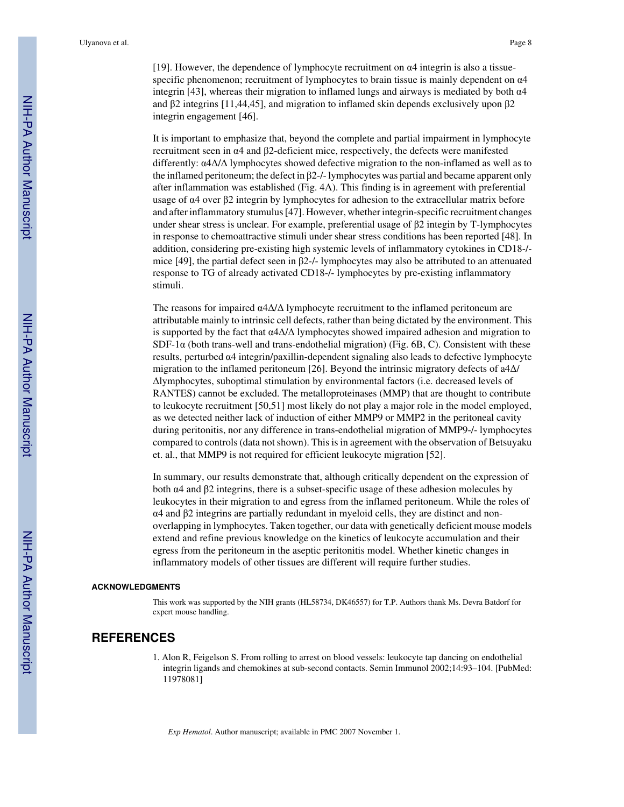[19]. However, the dependence of lymphocyte recruitment on  $\alpha$ 4 integrin is also a tissuespecific phenomenon; recruitment of lymphocytes to brain tissue is mainly dependent on α4 integrin [43], whereas their migration to inflamed lungs and airways is mediated by both  $\alpha$ 4 and β2 integrins [11,44,45], and migration to inflamed skin depends exclusively upon β2 integrin engagement [46].

It is important to emphasize that, beyond the complete and partial impairment in lymphocyte recruitment seen in α4 and β2-deficient mice, respectively, the defects were manifested differently: α4Δ/Δ lymphocytes showed defective migration to the non-inflamed as well as to the inflamed peritoneum; the defect in β2-/- lymphocytes was partial and became apparent only after inflammation was established (Fig. 4A). This finding is in agreement with preferential usage of α4 over β2 integrin by lymphocytes for adhesion to the extracellular matrix before and after inflammatory stumulus [47]. However, whether integrin-specific recruitment changes under shear stress is unclear. For example, preferential usage of  $β2$  integin by T-lymphocytes in response to chemoattractive stimuli under shear stress conditions has been reported [48]. In addition, considering pre-existing high systemic levels of inflammatory cytokines in CD18-/ mice [49], the partial defect seen in β2-/- lymphocytes may also be attributed to an attenuated response to TG of already activated CD18-/- lymphocytes by pre-existing inflammatory stimuli.

The reasons for impaired  $\alpha$ 4 $\Delta/\Delta$  lymphocyte recruitment to the inflamed peritoneum are attributable mainly to intrinsic cell defects, rather than being dictated by the environment. This is supported by the fact that  $\alpha$ 4 $\Delta/\Delta$  lymphocytes showed impaired adhesion and migration to SDF-1 $\alpha$  (both trans-well and trans-endothelial migration) (Fig. 6B, C). Consistent with these results, perturbed  $\alpha$ 4 integrin/paxillin-dependent signaling also leads to defective lymphocyte migration to the inflamed peritoneum [26]. Beyond the intrinsic migratory defects of a4Δ/ Δlymphocytes, suboptimal stimulation by environmental factors (i.e. decreased levels of RANTES) cannot be excluded. The metalloproteinases (MMP) that are thought to contribute to leukocyte recruitment [50,51] most likely do not play a major role in the model employed, as we detected neither lack of induction of either MMP9 or MMP2 in the peritoneal cavity during peritonitis, nor any difference in trans-endothelial migration of MMP9-/- lymphocytes compared to controls (data not shown). This is in agreement with the observation of Betsuyaku et. al., that MMP9 is not required for efficient leukocyte migration [52].

In summary, our results demonstrate that, although critically dependent on the expression of both  $\alpha$ 4 and  $\beta$ 2 integrins, there is a subset-specific usage of these adhesion molecules by leukocytes in their migration to and egress from the inflamed peritoneum. While the roles of α4 and β2 integrins are partially redundant in myeloid cells, they are distinct and nonoverlapping in lymphocytes. Taken together, our data with genetically deficient mouse models extend and refine previous knowledge on the kinetics of leukocyte accumulation and their egress from the peritoneum in the aseptic peritonitis model. Whether kinetic changes in inflammatory models of other tissues are different will require further studies.

#### **ACKNOWLEDGMENTS**

This work was supported by the NIH grants (HL58734, DK46557) for T.P. Authors thank Ms. Devra Batdorf for expert mouse handling.

## **REFERENCES**

1. Alon R, Feigelson S. From rolling to arrest on blood vessels: leukocyte tap dancing on endothelial integrin ligands and chemokines at sub-second contacts. Semin Immunol 2002;14:93–104. [PubMed: 11978081]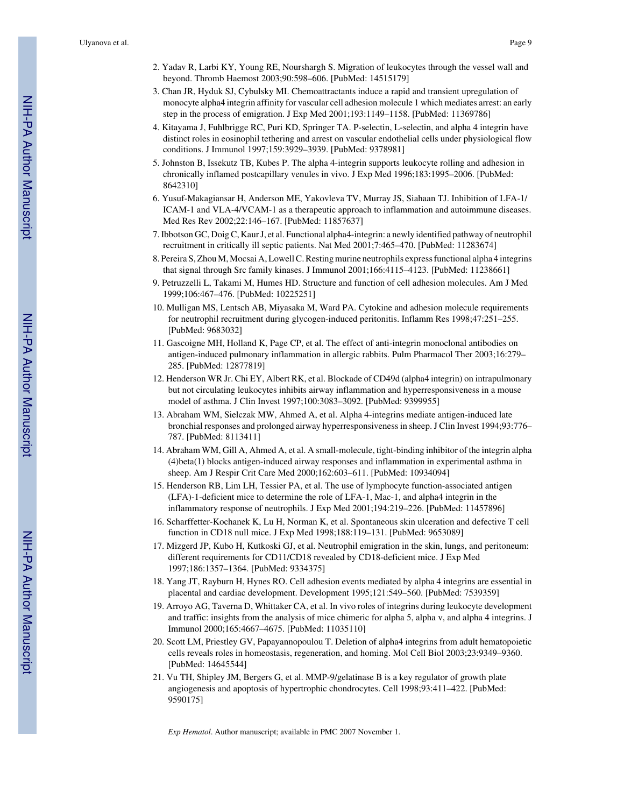- 2. Yadav R, Larbi KY, Young RE, Nourshargh S. Migration of leukocytes through the vessel wall and beyond. Thromb Haemost 2003;90:598–606. [PubMed: 14515179]
- 3. Chan JR, Hyduk SJ, Cybulsky MI. Chemoattractants induce a rapid and transient upregulation of monocyte alpha4 integrin affinity for vascular cell adhesion molecule 1 which mediates arrest: an early step in the process of emigration. J Exp Med 2001;193:1149–1158. [PubMed: 11369786]
- 4. Kitayama J, Fuhlbrigge RC, Puri KD, Springer TA. P-selectin, L-selectin, and alpha 4 integrin have distinct roles in eosinophil tethering and arrest on vascular endothelial cells under physiological flow conditions. J Immunol 1997;159:3929–3939. [PubMed: 9378981]
- 5. Johnston B, Issekutz TB, Kubes P. The alpha 4-integrin supports leukocyte rolling and adhesion in chronically inflamed postcapillary venules in vivo. J Exp Med 1996;183:1995–2006. [PubMed: 8642310]
- 6. Yusuf-Makagiansar H, Anderson ME, Yakovleva TV, Murray JS, Siahaan TJ. Inhibition of LFA-1/ ICAM-1 and VLA-4/VCAM-1 as a therapeutic approach to inflammation and autoimmune diseases. Med Res Rev 2002;22:146–167. [PubMed: 11857637]
- 7. Ibbotson GC, Doig C, Kaur J, et al. Functional alpha4-integrin: a newly identified pathway of neutrophil recruitment in critically ill septic patients. Nat Med 2001;7:465–470. [PubMed: 11283674]
- 8. Pereira S, Zhou M, Mocsai A, Lowell C. Resting murine neutrophils express functional alpha 4 integrins that signal through Src family kinases. J Immunol 2001;166:4115–4123. [PubMed: 11238661]
- 9. Petruzzelli L, Takami M, Humes HD. Structure and function of cell adhesion molecules. Am J Med 1999;106:467–476. [PubMed: 10225251]
- 10. Mulligan MS, Lentsch AB, Miyasaka M, Ward PA. Cytokine and adhesion molecule requirements for neutrophil recruitment during glycogen-induced peritonitis. Inflamm Res 1998;47:251–255. [PubMed: 9683032]
- 11. Gascoigne MH, Holland K, Page CP, et al. The effect of anti-integrin monoclonal antibodies on antigen-induced pulmonary inflammation in allergic rabbits. Pulm Pharmacol Ther 2003;16:279– 285. [PubMed: 12877819]
- 12. Henderson WR Jr. Chi EY, Albert RK, et al. Blockade of CD49d (alpha4 integrin) on intrapulmonary but not circulating leukocytes inhibits airway inflammation and hyperresponsiveness in a mouse model of asthma. J Clin Invest 1997;100:3083–3092. [PubMed: 9399955]
- 13. Abraham WM, Sielczak MW, Ahmed A, et al. Alpha 4-integrins mediate antigen-induced late bronchial responses and prolonged airway hyperresponsiveness in sheep. J Clin Invest 1994;93:776– 787. [PubMed: 8113411]
- 14. Abraham WM, Gill A, Ahmed A, et al. A small-molecule, tight-binding inhibitor of the integrin alpha (4)beta(1) blocks antigen-induced airway responses and inflammation in experimental asthma in sheep. Am J Respir Crit Care Med 2000;162:603–611. [PubMed: 10934094]
- 15. Henderson RB, Lim LH, Tessier PA, et al. The use of lymphocyte function-associated antigen (LFA)-1-deficient mice to determine the role of LFA-1, Mac-1, and alpha4 integrin in the inflammatory response of neutrophils. J Exp Med 2001;194:219–226. [PubMed: 11457896]
- 16. Scharffetter-Kochanek K, Lu H, Norman K, et al. Spontaneous skin ulceration and defective T cell function in CD18 null mice. J Exp Med 1998;188:119–131. [PubMed: 9653089]
- 17. Mizgerd JP, Kubo H, Kutkoski GJ, et al. Neutrophil emigration in the skin, lungs, and peritoneum: different requirements for CD11/CD18 revealed by CD18-deficient mice. J Exp Med 1997;186:1357–1364. [PubMed: 9334375]
- 18. Yang JT, Rayburn H, Hynes RO. Cell adhesion events mediated by alpha 4 integrins are essential in placental and cardiac development. Development 1995;121:549–560. [PubMed: 7539359]
- 19. Arroyo AG, Taverna D, Whittaker CA, et al. In vivo roles of integrins during leukocyte development and traffic: insights from the analysis of mice chimeric for alpha 5, alpha v, and alpha 4 integrins. J Immunol 2000;165:4667–4675. [PubMed: 11035110]
- 20. Scott LM, Priestley GV, Papayannopoulou T. Deletion of alpha4 integrins from adult hematopoietic cells reveals roles in homeostasis, regeneration, and homing. Mol Cell Biol 2003;23:9349–9360. [PubMed: 14645544]
- 21. Vu TH, Shipley JM, Bergers G, et al. MMP-9/gelatinase B is a key regulator of growth plate angiogenesis and apoptosis of hypertrophic chondrocytes. Cell 1998;93:411–422. [PubMed: 9590175]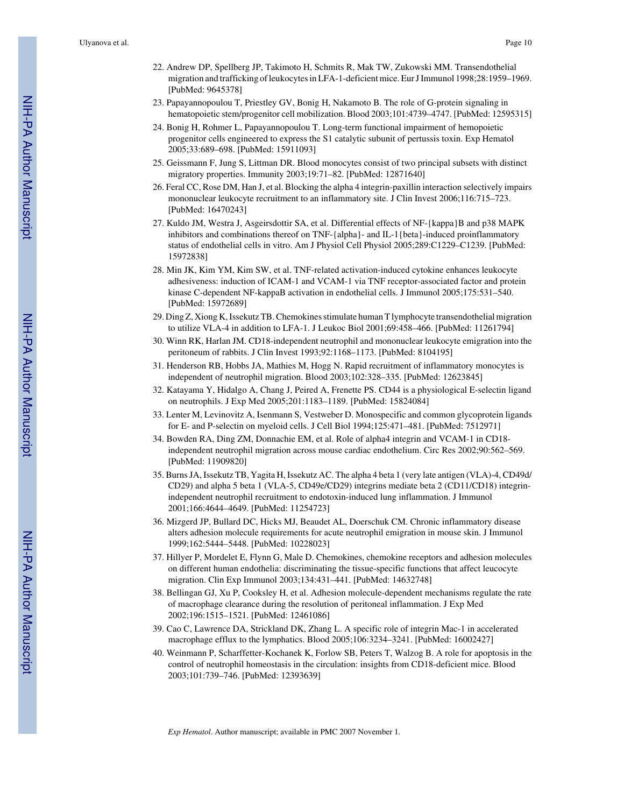- 22. Andrew DP, Spellberg JP, Takimoto H, Schmits R, Mak TW, Zukowski MM. Transendothelial migration and trafficking of leukocytes in LFA-1-deficient mice. Eur J Immunol 1998;28:1959–1969. [PubMed: 9645378]
- 23. Papayannopoulou T, Priestley GV, Bonig H, Nakamoto B. The role of G-protein signaling in hematopoietic stem/progenitor cell mobilization. Blood 2003;101:4739–4747. [PubMed: 12595315]
- 24. Bonig H, Rohmer L, Papayannopoulou T. Long-term functional impairment of hemopoietic progenitor cells engineered to express the S1 catalytic subunit of pertussis toxin. Exp Hematol 2005;33:689–698. [PubMed: 15911093]
- 25. Geissmann F, Jung S, Littman DR. Blood monocytes consist of two principal subsets with distinct migratory properties. Immunity 2003;19:71–82. [PubMed: 12871640]
- 26. Feral CC, Rose DM, Han J, et al. Blocking the alpha 4 integrin-paxillin interaction selectively impairs mononuclear leukocyte recruitment to an inflammatory site. J Clin Invest 2006;116:715–723. [PubMed: 16470243]
- 27. Kuldo JM, Westra J, Asgeirsdottir SA, et al. Differential effects of NF-{kappa}B and p38 MAPK inhibitors and combinations thereof on TNF-{alpha}- and IL-1{beta}-induced proinflammatory status of endothelial cells in vitro. Am J Physiol Cell Physiol 2005;289:C1229–C1239. [PubMed: 15972838]
- 28. Min JK, Kim YM, Kim SW, et al. TNF-related activation-induced cytokine enhances leukocyte adhesiveness: induction of ICAM-1 and VCAM-1 via TNF receptor-associated factor and protein kinase C-dependent NF-kappaB activation in endothelial cells. J Immunol 2005;175:531–540. [PubMed: 15972689]
- 29. Ding Z, Xiong K, Issekutz TB. Chemokines stimulate human T lymphocyte transendothelial migration to utilize VLA-4 in addition to LFA-1. J Leukoc Biol 2001;69:458–466. [PubMed: 11261794]
- 30. Winn RK, Harlan JM. CD18-independent neutrophil and mononuclear leukocyte emigration into the peritoneum of rabbits. J Clin Invest 1993;92:1168–1173. [PubMed: 8104195]
- 31. Henderson RB, Hobbs JA, Mathies M, Hogg N. Rapid recruitment of inflammatory monocytes is independent of neutrophil migration. Blood 2003;102:328–335. [PubMed: 12623845]
- 32. Katayama Y, Hidalgo A, Chang J, Peired A, Frenette PS. CD44 is a physiological E-selectin ligand on neutrophils. J Exp Med 2005;201:1183–1189. [PubMed: 15824084]
- 33. Lenter M, Levinovitz A, Isenmann S, Vestweber D. Monospecific and common glycoprotein ligands for E- and P-selectin on myeloid cells. J Cell Biol 1994;125:471–481. [PubMed: 7512971]
- 34. Bowden RA, Ding ZM, Donnachie EM, et al. Role of alpha4 integrin and VCAM-1 in CD18 independent neutrophil migration across mouse cardiac endothelium. Circ Res 2002;90:562–569. [PubMed: 11909820]
- 35. Burns JA, Issekutz TB, Yagita H, Issekutz AC. The alpha 4 beta 1 (very late antigen (VLA)-4, CD49d/ CD29) and alpha 5 beta 1 (VLA-5, CD49e/CD29) integrins mediate beta 2 (CD11/CD18) integrinindependent neutrophil recruitment to endotoxin-induced lung inflammation. J Immunol 2001;166:4644–4649. [PubMed: 11254723]
- 36. Mizgerd JP, Bullard DC, Hicks MJ, Beaudet AL, Doerschuk CM. Chronic inflammatory disease alters adhesion molecule requirements for acute neutrophil emigration in mouse skin. J Immunol 1999;162:5444–5448. [PubMed: 10228023]
- 37. Hillyer P, Mordelet E, Flynn G, Male D. Chemokines, chemokine receptors and adhesion molecules on different human endothelia: discriminating the tissue-specific functions that affect leucocyte migration. Clin Exp Immunol 2003;134:431–441. [PubMed: 14632748]
- 38. Bellingan GJ, Xu P, Cooksley H, et al. Adhesion molecule-dependent mechanisms regulate the rate of macrophage clearance during the resolution of peritoneal inflammation. J Exp Med 2002;196:1515–1521. [PubMed: 12461086]
- 39. Cao C, Lawrence DA, Strickland DK, Zhang L. A specific role of integrin Mac-1 in accelerated macrophage efflux to the lymphatics. Blood 2005;106:3234–3241. [PubMed: 16002427]
- 40. Weinmann P, Scharffetter-Kochanek K, Forlow SB, Peters T, Walzog B. A role for apoptosis in the control of neutrophil homeostasis in the circulation: insights from CD18-deficient mice. Blood 2003;101:739–746. [PubMed: 12393639]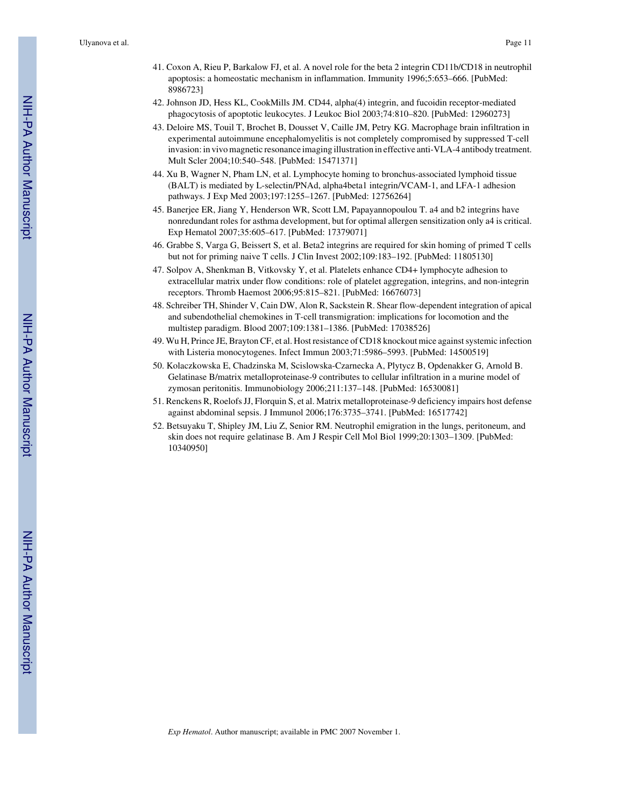- 41. Coxon A, Rieu P, Barkalow FJ, et al. A novel role for the beta 2 integrin CD11b/CD18 in neutrophil apoptosis: a homeostatic mechanism in inflammation. Immunity 1996;5:653–666. [PubMed: 8986723]
- 42. Johnson JD, Hess KL, CookMills JM. CD44, alpha(4) integrin, and fucoidin receptor-mediated phagocytosis of apoptotic leukocytes. J Leukoc Biol 2003;74:810–820. [PubMed: 12960273]
- 43. Deloire MS, Touil T, Brochet B, Dousset V, Caille JM, Petry KG. Macrophage brain infiltration in experimental autoimmune encephalomyelitis is not completely compromised by suppressed T-cell invasion: in vivo magnetic resonance imaging illustration in effective anti-VLA-4 antibody treatment. Mult Scler 2004;10:540–548. [PubMed: 15471371]
- 44. Xu B, Wagner N, Pham LN, et al. Lymphocyte homing to bronchus-associated lymphoid tissue (BALT) is mediated by L-selectin/PNAd, alpha4beta1 integrin/VCAM-1, and LFA-1 adhesion pathways. J Exp Med 2003;197:1255–1267. [PubMed: 12756264]
- 45. Banerjee ER, Jiang Y, Henderson WR, Scott LM, Papayannopoulou T. a4 and b2 integrins have nonredundant roles for asthma development, but for optimal allergen sensitization only a4 is critical. Exp Hematol 2007;35:605–617. [PubMed: 17379071]
- 46. Grabbe S, Varga G, Beissert S, et al. Beta2 integrins are required for skin homing of primed T cells but not for priming naive T cells. J Clin Invest 2002;109:183–192. [PubMed: 11805130]
- 47. Solpov A, Shenkman B, Vitkovsky Y, et al. Platelets enhance CD4+ lymphocyte adhesion to extracellular matrix under flow conditions: role of platelet aggregation, integrins, and non-integrin receptors. Thromb Haemost 2006;95:815–821. [PubMed: 16676073]
- 48. Schreiber TH, Shinder V, Cain DW, Alon R, Sackstein R. Shear flow-dependent integration of apical and subendothelial chemokines in T-cell transmigration: implications for locomotion and the multistep paradigm. Blood 2007;109:1381–1386. [PubMed: 17038526]
- 49. Wu H, Prince JE, Brayton CF, et al. Host resistance of CD18 knockout mice against systemic infection with Listeria monocytogenes. Infect Immun 2003;71:5986–5993. [PubMed: 14500519]
- 50. Kolaczkowska E, Chadzinska M, Scislowska-Czarnecka A, Plytycz B, Opdenakker G, Arnold B. Gelatinase B/matrix metalloproteinase-9 contributes to cellular infiltration in a murine model of zymosan peritonitis. Immunobiology 2006;211:137–148. [PubMed: 16530081]
- 51. Renckens R, Roelofs JJ, Florquin S, et al. Matrix metalloproteinase-9 deficiency impairs host defense against abdominal sepsis. J Immunol 2006;176:3735–3741. [PubMed: 16517742]
- 52. Betsuyaku T, Shipley JM, Liu Z, Senior RM. Neutrophil emigration in the lungs, peritoneum, and skin does not require gelatinase B. Am J Respir Cell Mol Biol 1999;20:1303–1309. [PubMed: 10340950]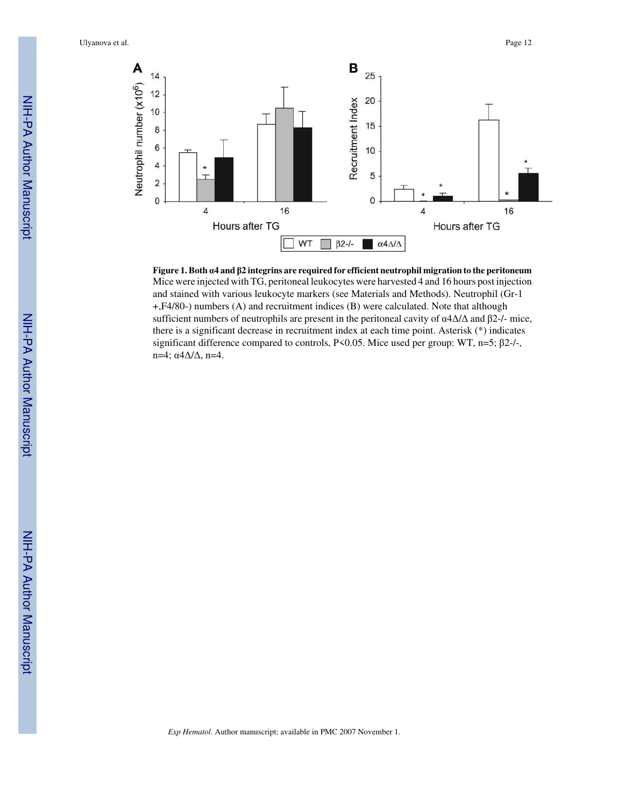

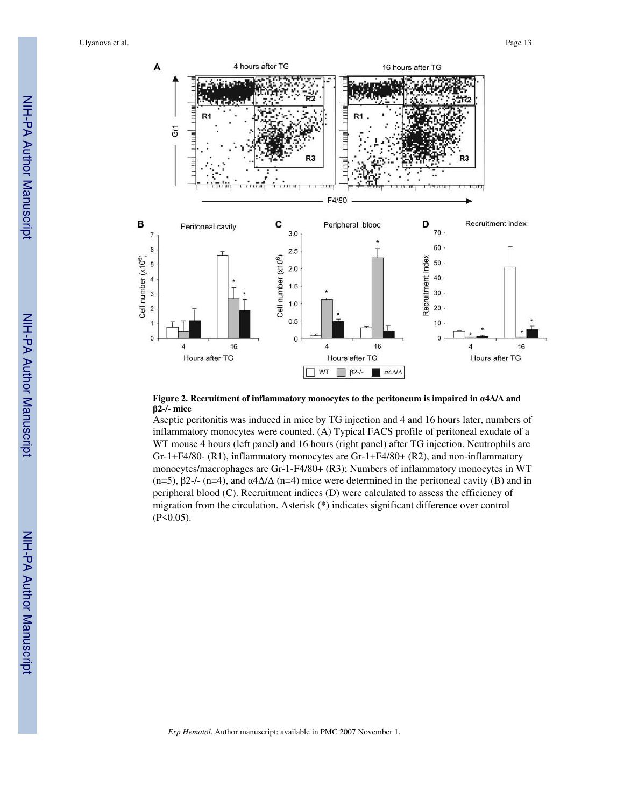

#### **Figure 2. Recruitment of inflammatory monocytes to the peritoneum is impaired in α4Δ/Δ and β2-/- mice**

Aseptic peritonitis was induced in mice by TG injection and 4 and 16 hours later, numbers of inflammatory monocytes were counted. (A) Typical FACS profile of peritoneal exudate of a WT mouse 4 hours (left panel) and 16 hours (right panel) after TG injection. Neutrophils are Gr-1+F4/80- (R1), inflammatory monocytes are Gr-1+F4/80+ (R2), and non-inflammatory monocytes/macrophages are Gr-1-F4/80+ (R3); Numbers of inflammatory monocytes in WT (n=5),  $\beta$ 2-/- (n=4), and  $\alpha$ 4 $\Delta/\Delta$  (n=4) mice were determined in the peritoneal cavity (B) and in peripheral blood (C). Recruitment indices (D) were calculated to assess the efficiency of migration from the circulation. Asterisk (\*) indicates significant difference over control (P<0.05).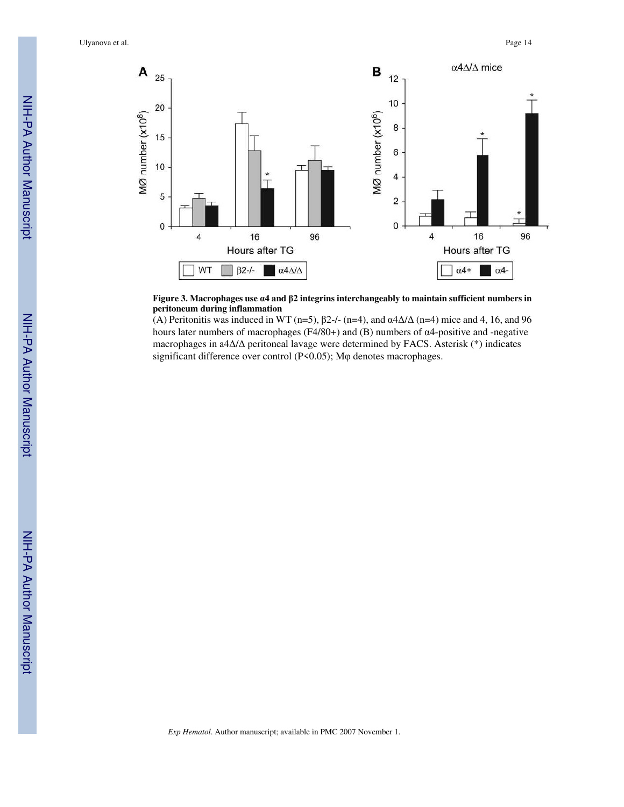

#### **Figure 3. Macrophages use α4 and β2 integrins interchangeably to maintain sufficient numbers in peritoneum during inflammation**

(A) Peritonitis was induced in WT (n=5),  $\beta$ 2-/- (n=4), and  $\alpha$ 4 $\Delta/\Delta$  (n=4) mice and 4, 16, and 96 hours later numbers of macrophages (F4/80+) and (B) numbers of α4-positive and -negative macrophages in a4Δ/Δ peritoneal lavage were determined by FACS. Asterisk (\*) indicates significant difference over control (P<0.05); Mφ denotes macrophages.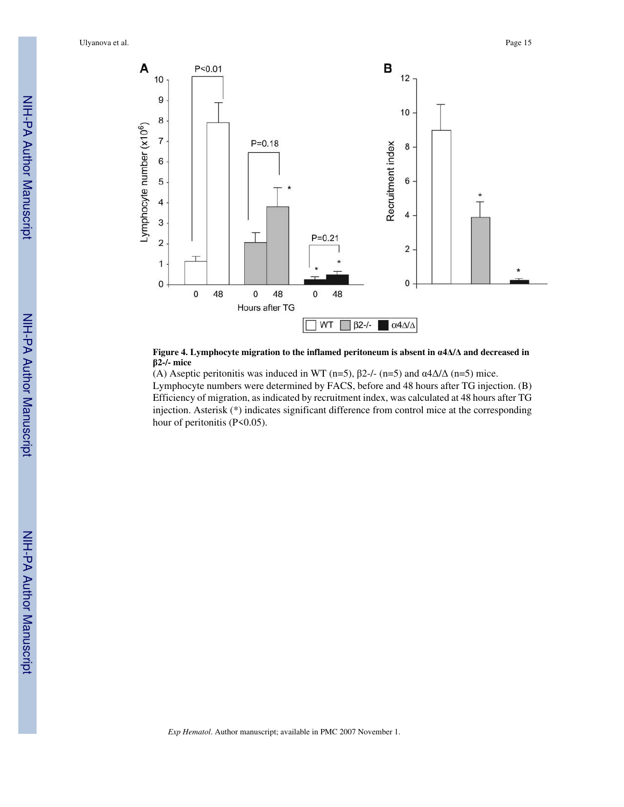

#### **Figure 4. Lymphocyte migration to the inflamed peritoneum is absent in α4Δ/Δ and decreased in β2-/- mice**

(A) Aseptic peritonitis was induced in WT (n=5),  $\beta$ 2-/- (n=5) and  $\alpha$ 4 $\Delta/\Delta$  (n=5) mice. Lymphocyte numbers were determined by FACS, before and 48 hours after TG injection. (B) Efficiency of migration, as indicated by recruitment index, was calculated at 48 hours after TG injection. Asterisk (\*) indicates significant difference from control mice at the corresponding hour of peritonitis (P<0.05).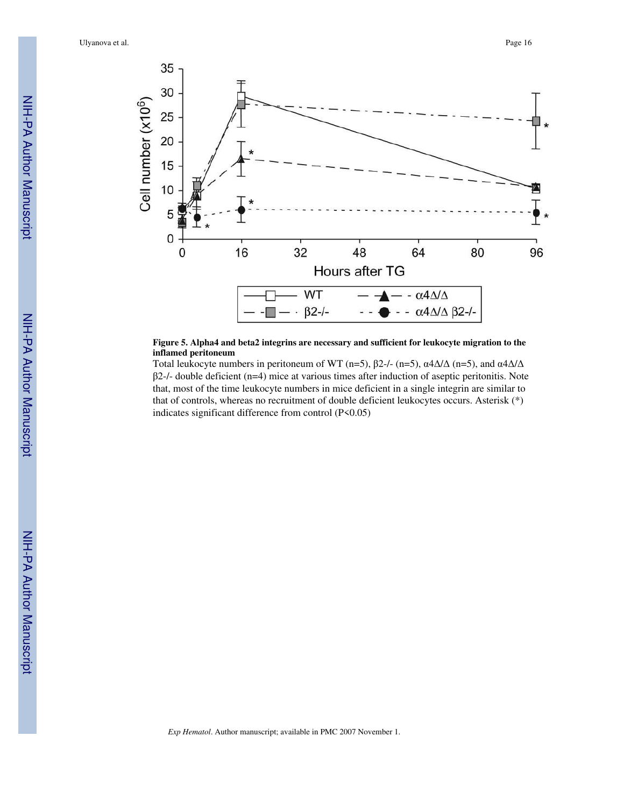

#### **Figure 5. Alpha4 and beta2 integrins are necessary and sufficient for leukocyte migration to the inflamed peritoneum**

Total leukocyte numbers in peritoneum of WT (n=5),  $\beta$ 2-/- (n=5), α4Δ/Δ (n=5), and α4Δ/Δ β2-/- double deficient (n=4) mice at various times after induction of aseptic peritonitis. Note that, most of the time leukocyte numbers in mice deficient in a single integrin are similar to that of controls, whereas no recruitment of double deficient leukocytes occurs. Asterisk (\*) indicates significant difference from control (P<0.05)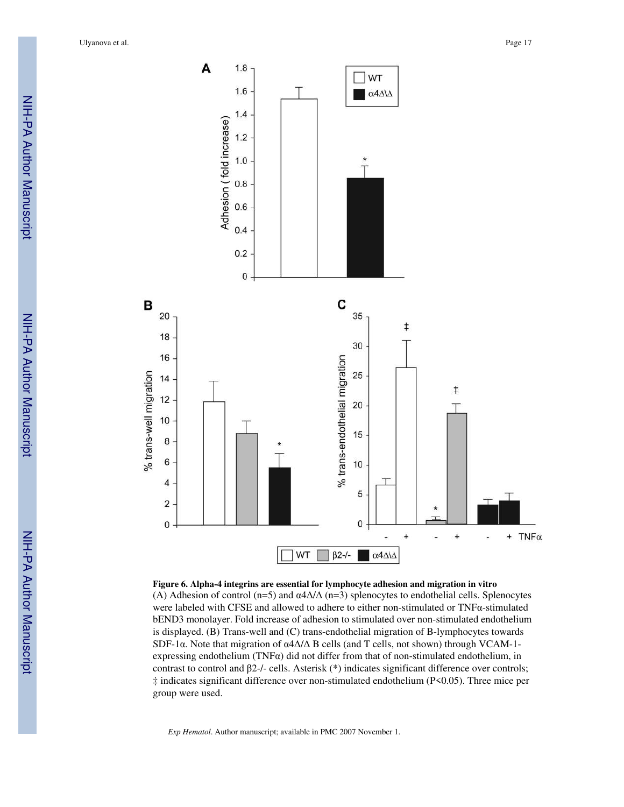



(A) Adhesion of control (n=5) and  $\alpha$ 4 $\Delta/\Delta$  (n=3) splenocytes to endothelial cells. Splenocytes were labeled with CFSE and allowed to adhere to either non-stimulated or TNFα-stimulated bEND3 monolayer. Fold increase of adhesion to stimulated over non-stimulated endothelium is displayed. (B) Trans-well and (C) trans-endothelial migration of B-lymphocytes towards SDF-1α. Note that migration of α4Δ/Δ B cells (and T cells, not shown) through VCAM-1 expressing endothelium (TNFα) did not differ from that of non-stimulated endothelium, in contrast to control and β2-/- cells. Asterisk (\*) indicates significant difference over controls; ‡ indicates significant difference over non-stimulated endothelium (P<0.05). Three mice per group were used.